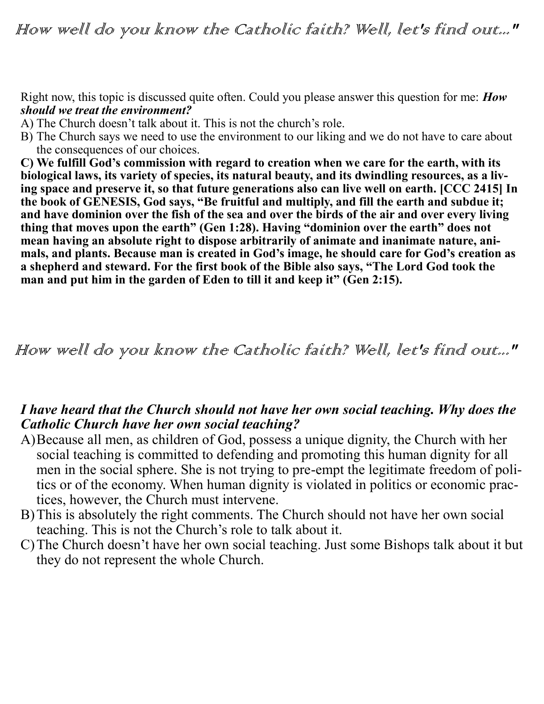Right now, this topic is discussed quite often. Could you please answer this question for me: *How should we treat the environment?*

- A) The Church doesn't talk about it. This is not the church's role.
- B) The Church says we need to use the environment to our liking and we do not have to care about the consequences of our choices.

**C) We fulfill God's commission with regard to creation when we care for the earth, with its biological laws, its variety of species, its natural beauty, and its dwindling resources, as a living space and preserve it, so that future generations also can live well on earth. [CCC 2415] In the book of GENESIS, God says, "Be fruitful and multiply, and fill the earth and subdue it; and have dominion over the fish of the sea and over the birds of the air and over every living thing that moves upon the earth" (Gen 1:28). Having "dominion over the earth" does not mean having an absolute right to dispose arbitrarily of animate and inanimate nature, animals, and plants. Because man is created in God's image, he should care for God's creation as a shepherd and steward. For the first book of the Bible also says, "The Lord God took the**  man and put him in the garden of Eden to till it and keep it" (Gen 2:15).

How well do you know the Catholic faith? Well, let's find out..."

## *I have heard that the Church should not have her own social teaching. Why does the Catholic Church have her own social teaching?*

- A)Because all men, as children of God, possess a unique dignity, the Church with her social teaching is committed to defending and promoting this human dignity for all men in the social sphere. She is not trying to pre-empt the legitimate freedom of politics or of the economy. When human dignity is violated in politics or economic practices, however, the Church must intervene.
- B)This is absolutely the right comments. The Church should not have her own social teaching. This is not the Church's role to talk about it.
- C)The Church doesn't have her own social teaching. Just some Bishops talk about it but they do not represent the whole Church.